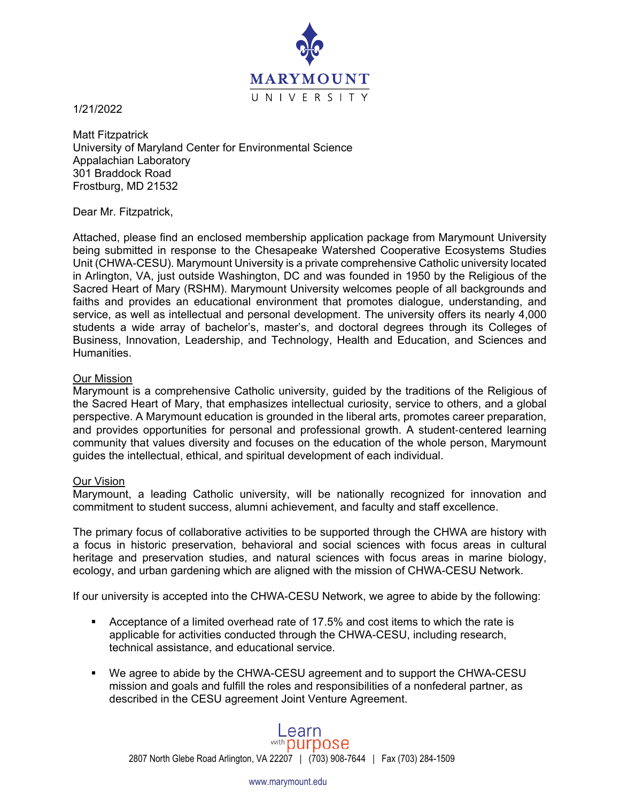UNIVERSITY

MARYMOUNT

1/21/2022

Matt Fitzpatrick University of Maryland Center for Environmental Science Appalachian Laboratory 301 Braddock Road Frostburg, MD 21532

Dear Mr. Fitzpatrick,

Attached, please find an enclosed membership application package from Marymount University being submitted in response to the Chesapeake Watershed Cooperative Ecosystems Studies Unit (CHWA-CESU). Marymount University is a private comprehensive Catholic university located in Arlington, VA, just outside Washington, DC and was founded in 1950 by the Religious of the Sacred Heart of Mary (RSHM). Marymount University welcomes people of all backgrounds and faiths and provides an educational environment that promotes dialogue, understanding, and service, as well as intellectual and personal development. The university offers its nearly 4,000 students a wide array of bachelor's, master's, and doctoral degrees through its Colleges of Business, Innovation, Leadership, and Technology, Health and Education, and Sciences and Humanities.

### Our Mission

Marymount is a comprehensive Catholic university, guided by the traditions of the Religious of the Sacred Heart of Mary, that emphasizes intellectual curiosity, service to others, and a global perspective. A Marymount education is grounded in the liberal arts, promotes career preparation, and provides opportunities for personal and professional growth. A student-centered learning community that values diversity and focuses on the education of the whole person, Marymount guides the intellectual, ethical, and spiritual development of each individual.

#### Our Vision

Marymount, a leading Catholic university, will be nationally recognized for innovation and commitment to student success, alumni achievement, and faculty and staff excellence.

The primary focus of collaborative activities to be supported through the CHWA are history with a focus in historic preservation, behavioral and social sciences with focus areas in cultural heritage and preservation studies, and natural sciences with focus areas in marine biology, ecology, and urban gardening which are aligned with the mission of CHWA-CESU Network.

If our university is accepted into the CHWA-CESU Network, we agree to abide by the following:

- Acceptance of a limited overhead rate of 17.5% and cost items to which the rate is applicable for activities conducted through the CHWA-CESU, including research, technical assistance, and educational service.
- We agree to abide by the CHWA-CESU agreement and to support the CHWA-CESU mission and goals and fulfill the roles and responsibilities of a nonfederal partner, as described in the CESU agreement Joint Venture Agreement.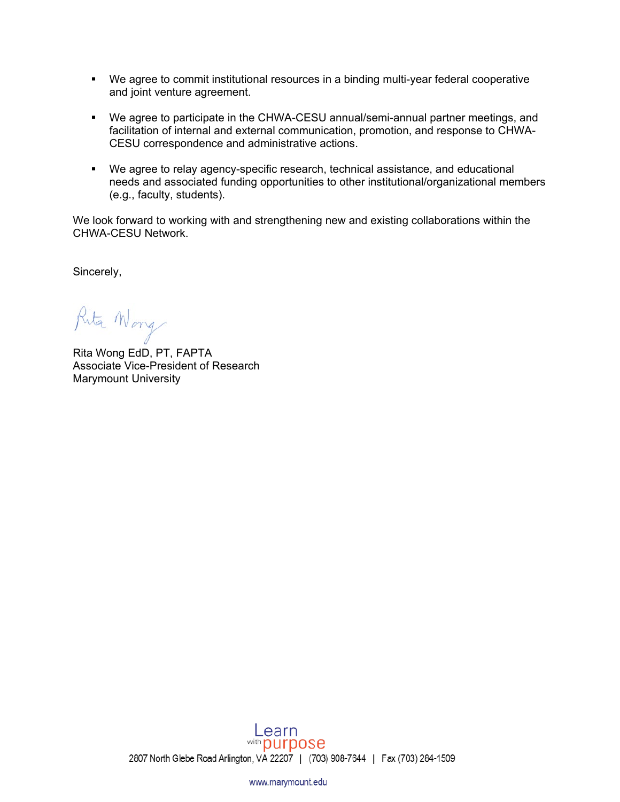- We agree to commit institutional resources in a binding multi-year federal cooperative and joint venture agreement.
- We agree to participate in the CHWA-CESU annual/semi-annual partner meetings, and facilitation of internal and external communication, promotion, and response to CHWA-CESU correspondence and administrative actions.
- We agree to relay agency-specific research, technical assistance, and educational needs and associated funding opportunities to other institutional/organizational members (e.g., faculty, students).

We look forward to working with and strengthening new and existing collaborations within the CHWA-CESU Network.

Sincerely,

Rita Wong

Rita Wong EdD, PT, FAPTA Associate Vice-President of Research Marymount University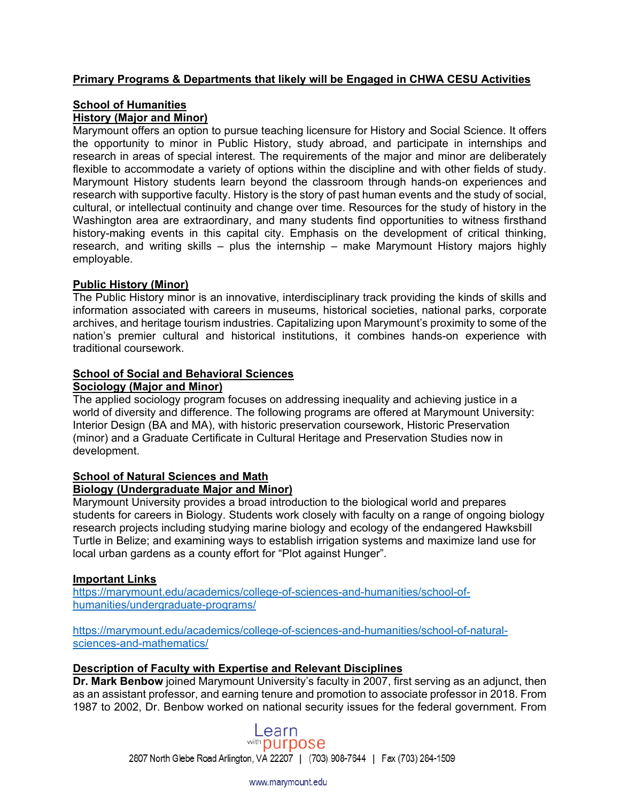# **Primary Programs & Departments that likely will be Engaged in CHWA CESU Activities**

# **School of Humanities**

# **History (Major and Minor)**

Marymount offers an option to pursue teaching licensure for History and Social Science. It offers the opportunity to minor in Public History, study abroad, and participate in internships and research in areas of special interest. The requirements of the major and minor are deliberately flexible to accommodate a variety of options within the discipline and with other fields of study. Marymount History students learn beyond the classroom through hands-on experiences and research with supportive faculty. History is the story of past human events and the study of social, cultural, or intellectual continuity and change over time. Resources for the study of history in the Washington area are extraordinary, and many students find opportunities to witness firsthand history-making events in this capital city. Emphasis on the development of critical thinking, research, and writing skills – plus the internship – make Marymount History majors highly employable.

# **Public History (Minor)**

The Public History minor is an innovative, interdisciplinary track providing the kinds of skills and information associated with careers in museums, historical societies, national parks, corporate archives, and heritage tourism industries. Capitalizing upon Marymount's proximity to some of the nation's premier cultural and historical institutions, it combines hands-on experience with traditional coursework.

#### **School of Social and Behavioral Sciences Sociology (Major and Minor)**

The applied sociology program focuses on addressing inequality and achieving justice in a world of diversity and difference. The following programs are offered at Marymount University: Interior Design (BA and MA), with historic preservation coursework, Historic Preservation (minor) and a Graduate Certificate in Cultural Heritage and Preservation Studies now in development.

### **School of Natural Sciences and Math Biology (Undergraduate Major and Minor)**

Marymount University provides a broad introduction to the biological world and prepares students for careers in Biology. Students work closely with faculty on a range of ongoing biology research projects including studying marine biology and ecology of the endangered Hawksbill Turtle in Belize; and examining ways to establish irrigation systems and maximize land use for local urban gardens as a county effort for "Plot against Hunger".

# **Important Links**

https://marymount.edu/academics/college-of-sciences-and-humanities/school-ofhumanities/undergraduate-programs/

https://marymount.edu/academics/college-of-sciences-and-humanities/school-of-naturalsciences-and-mathematics/

# **Description of Faculty with Expertise and Relevant Disciplines**

**Dr. Mark Benbow** joined Marymount University's faculty in 2007, first serving as an adjunct, then as an assistant professor, and earning tenure and promotion to associate professor in 2018. From 1987 to 2002, Dr. Benbow worked on national security issues for the federal government. From

> Learn with purpose 2807 North Glebe Road Arlington, VA 22207 | (703) 908-7644 | Fax (703) 284-1509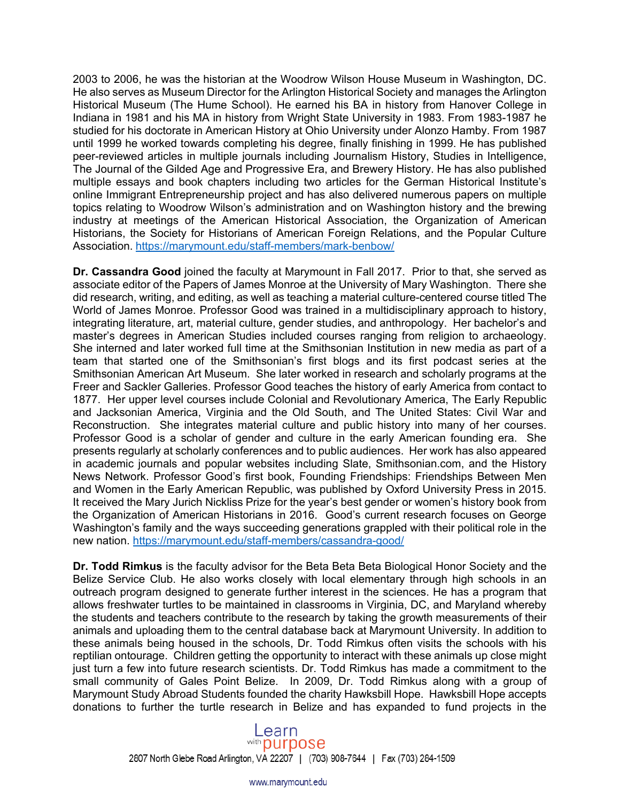2003 to 2006, he was the historian at the Woodrow Wilson House Museum in Washington, DC. He also serves as Museum Director for the Arlington Historical Society and manages the Arlington Historical Museum (The Hume School). He earned his BA in history from Hanover College in Indiana in 1981 and his MA in history from Wright State University in 1983. From 1983-1987 he studied for his doctorate in American History at Ohio University under Alonzo Hamby. From 1987 until 1999 he worked towards completing his degree, finally finishing in 1999. He has published peer-reviewed articles in multiple journals including Journalism History, Studies in Intelligence, The Journal of the Gilded Age and Progressive Era, and Brewery History. He has also published multiple essays and book chapters including two articles for the German Historical Institute's online Immigrant Entrepreneurship project and has also delivered numerous papers on multiple topics relating to Woodrow Wilson's administration and on Washington history and the brewing industry at meetings of the American Historical Association, the Organization of American Historians, the Society for Historians of American Foreign Relations, and the Popular Culture Association. https://marymount.edu/staff-members/mark-benbow/

**Dr. Cassandra Good** joined the faculty at Marymount in Fall 2017. Prior to that, she served as associate editor of the Papers of James Monroe at the University of Mary Washington. There she did research, writing, and editing, as well as teaching a material culture-centered course titled The World of James Monroe. Professor Good was trained in a multidisciplinary approach to history, integrating literature, art, material culture, gender studies, and anthropology. Her bachelor's and master's degrees in American Studies included courses ranging from religion to archaeology. She interned and later worked full time at the Smithsonian Institution in new media as part of a team that started one of the Smithsonian's first blogs and its first podcast series at the Smithsonian American Art Museum. She later worked in research and scholarly programs at the Freer and Sackler Galleries. Professor Good teaches the history of early America from contact to 1877. Her upper level courses include Colonial and Revolutionary America, The Early Republic and Jacksonian America, Virginia and the Old South, and The United States: Civil War and Reconstruction. She integrates material culture and public history into many of her courses. Professor Good is a scholar of gender and culture in the early American founding era. She presents regularly at scholarly conferences and to public audiences. Her work has also appeared in academic journals and popular websites including Slate, Smithsonian.com, and the History News Network. Professor Good's first book, Founding Friendships: Friendships Between Men and Women in the Early American Republic, was published by Oxford University Press in 2015. It received the Mary Jurich Nickliss Prize for the year's best gender or women's history book from the Organization of American Historians in 2016. Good's current research focuses on George Washington's family and the ways succeeding generations grappled with their political role in the new nation. https://marymount.edu/staff-members/cassandra-good/

**Dr. Todd Rimkus** is the faculty advisor for the Beta Beta Beta Biological Honor Society and the Belize Service Club. He also works closely with local elementary through high schools in an outreach program designed to generate further interest in the sciences. He has a program that allows freshwater turtles to be maintained in classrooms in Virginia, DC, and Maryland whereby the students and teachers contribute to the research by taking the growth measurements of their animals and uploading them to the central database back at Marymount University. In addition to these animals being housed in the schools, Dr. Todd Rimkus often visits the schools with his reptilian ontourage. Children getting the opportunity to interact with these animals up close might just turn a few into future research scientists. Dr. Todd Rimkus has made a commitment to the small community of Gales Point Belize. In 2009, Dr. Todd Rimkus along with a group of Marymount Study Abroad Students founded the charity Hawksbill Hope. Hawksbill Hope accepts donations to further the turtle research in Belize and has expanded to fund projects in the

> Learn<br>with purpose 2807 North Glebe Road Arlington, VA 22207 | (703) 908-7644 | Fax (703) 284-1509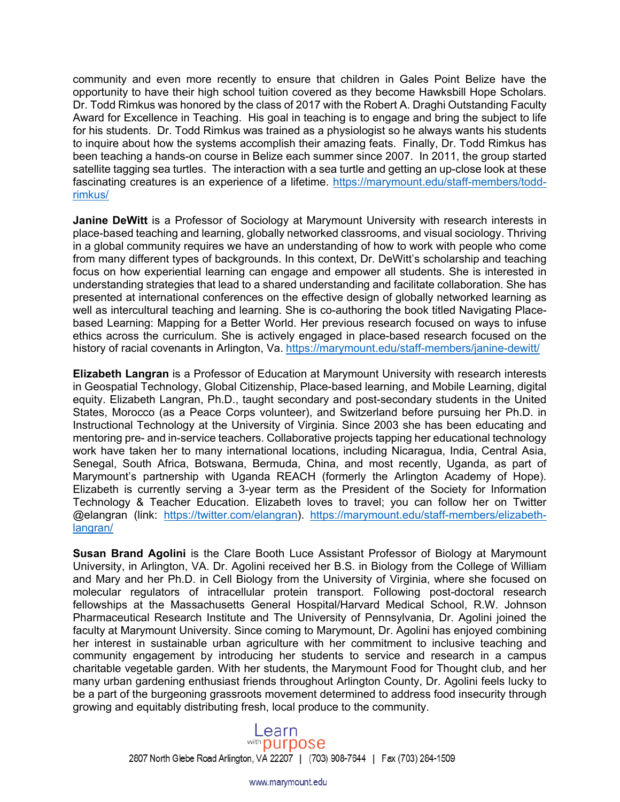community and even more recently to ensure that children in Gales Point Belize have the opportunity to have their high school tuition covered as they become Hawksbill Hope Scholars. Dr. Todd Rimkus was honored by the class of 2017 with the Robert A. Draghi Outstanding Faculty Award for Excellence in Teaching. His goal in teaching is to engage and bring the subject to life for his students. Dr. Todd Rimkus was trained as a physiologist so he always wants his students to inquire about how the systems accomplish their amazing feats. Finally, Dr. Todd Rimkus has been teaching a hands-on course in Belize each summer since 2007. In 2011, the group started satellite tagging sea turtles. The interaction with a sea turtle and getting an up-close look at these fascinating creatures is an experience of a lifetime. https://marymount.edu/staff-members/toddrimkus/

**Janine DeWitt** is a Professor of Sociology at Marymount University with research interests in place-based teaching and learning, globally networked classrooms, and visual sociology. Thriving in a global community requires we have an understanding of how to work with people who come from many different types of backgrounds. In this context, Dr. DeWitt's scholarship and teaching focus on how experiential learning can engage and empower all students. She is interested in understanding strategies that lead to a shared understanding and facilitate collaboration. She has presented at international conferences on the effective design of globally networked learning as well as intercultural teaching and learning. She is co-authoring the book titled Navigating Placebased Learning: Mapping for a Better World. Her previous research focused on ways to infuse ethics across the curriculum. She is actively engaged in place-based research focused on the history of racial covenants in Arlington, Va. https://marymount.edu/staff-members/janine-dewitt/

**Elizabeth Langran** is a Professor of Education at Marymount University with research interests in Geospatial Technology, Global Citizenship, Place-based learning, and Mobile Learning, digital equity. Elizabeth Langran, Ph.D., taught secondary and post-secondary students in the United States, Morocco (as a Peace Corps volunteer), and Switzerland before pursuing her Ph.D. in Instructional Technology at the University of Virginia. Since 2003 she has been educating and mentoring pre- and in-service teachers. Collaborative projects tapping her educational technology work have taken her to many international locations, including Nicaragua, India, Central Asia, Senegal, South Africa, Botswana, Bermuda, China, and most recently, Uganda, as part of Marymount's partnership with Uganda REACH (formerly the Arlington Academy of Hope). Elizabeth is currently serving a 3-year term as the President of the Society for Information Technology & Teacher Education. Elizabeth loves to travel; you can follow her on Twitter @elangran (link: https://twitter.com/elangran). https://marymount.edu/staff-members/elizabethlangran/

**Susan Brand Agolini** is the Clare Booth Luce Assistant Professor of Biology at Marymount University, in Arlington, VA. Dr. Agolini received her B.S. in Biology from the College of William and Mary and her Ph.D. in Cell Biology from the University of Virginia, where she focused on molecular regulators of intracellular protein transport. Following post-doctoral research fellowships at the Massachusetts General Hospital/Harvard Medical School, R.W. Johnson Pharmaceutical Research Institute and The University of Pennsylvania, Dr. Agolini joined the faculty at Marymount University. Since coming to Marymount, Dr. Agolini has enjoyed combining her interest in sustainable urban agriculture with her commitment to inclusive teaching and community engagement by introducing her students to service and research in a campus charitable vegetable garden. With her students, the Marymount Food for Thought club, and her many urban gardening enthusiast friends throughout Arlington County, Dr. Agolini feels lucky to be a part of the burgeoning grassroots movement determined to address food insecurity through growing and equitably distributing fresh, local produce to the community.

> Learn<br>with purpose 2807 North Glebe Road Arlington, VA 22207 | (703) 908-7644 | Fax (703) 284-1509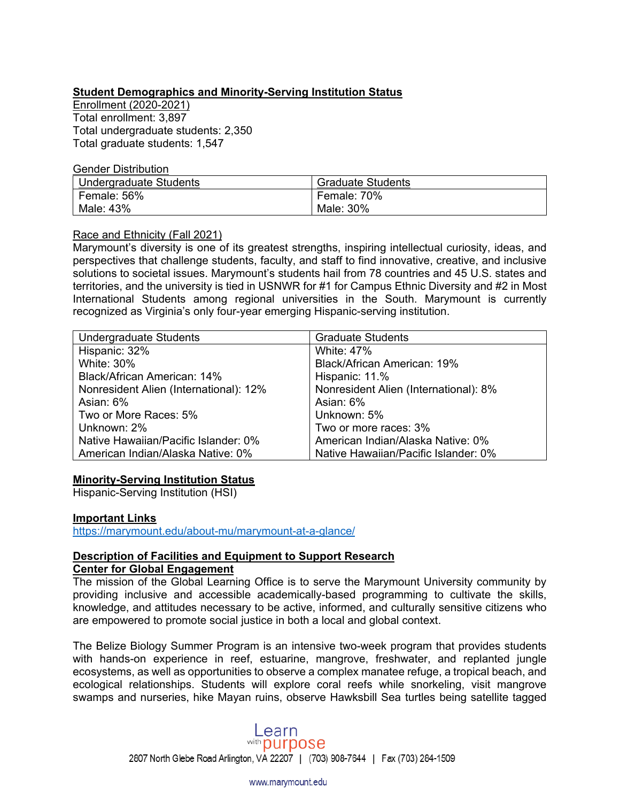## **Student Demographics and Minority-Serving Institution Status**

Enrollment (2020-2021) Total enrollment: 3,897 Total undergraduate students: 2,350 Total graduate students: 1,547

Gender Distribution

| <b>Undergraduate Students</b> | <b>Graduate Students</b> |
|-------------------------------|--------------------------|
| Female: 56%                   | Female: 70%              |
| Male: 43%                     | Male: 30%                |

### Race and Ethnicity (Fall 2021)

Marymount's diversity is one of its greatest strengths, inspiring intellectual curiosity, ideas, and perspectives that challenge students, faculty, and staff to find innovative, creative, and inclusive solutions to societal issues. Marymount's students hail from 78 countries and 45 U.S. states and territories, and the university is tied in USNWR for #1 for Campus Ethnic Diversity and #2 in Most International Students among regional universities in the South. Marymount is currently recognized as Virginia's only four-year emerging Hispanic-serving institution.

| <b>Undergraduate Students</b>          | <b>Graduate Students</b>              |
|----------------------------------------|---------------------------------------|
| Hispanic: 32%                          | <b>White: 47%</b>                     |
| <b>White: 30%</b>                      | <b>Black/African American: 19%</b>    |
| Black/African American: 14%            | Hispanic: 11.%                        |
| Nonresident Alien (International): 12% | Nonresident Alien (International): 8% |
| Asian: 6%                              | Asian: 6%                             |
| Two or More Races: 5%                  | Unknown: 5%                           |
| Unknown: 2%                            | Two or more races: 3%                 |
| Native Hawaiian/Pacific Islander: 0%   | American Indian/Alaska Native: 0%     |
| American Indian/Alaska Native: 0%      | Native Hawaiian/Pacific Islander: 0%  |

## **Minority-Serving Institution Status**

Hispanic-Serving Institution (HSI)

## **Important Links**

https://marymount.edu/about-mu/marymount-at-a-glance/

## **Description of Facilities and Equipment to Support Research Center for Global Engagement**

The mission of the Global Learning Office is to serve the Marymount University community by providing inclusive and accessible academically-based programming to cultivate the skills, knowledge, and attitudes necessary to be active, informed, and culturally sensitive citizens who are empowered to promote social justice in both a local and global context.

The Belize Biology Summer Program is an intensive two-week program that provides students with hands-on experience in reef, estuarine, mangrove, freshwater, and replanted jungle ecosystems, as well as opportunities to observe a complex manatee refuge, a tropical beach, and ecological relationships. Students will explore coral reefs while snorkeling, visit mangrove swamps and nurseries, hike Mayan ruins, observe Hawksbill Sea turtles being satellite tagged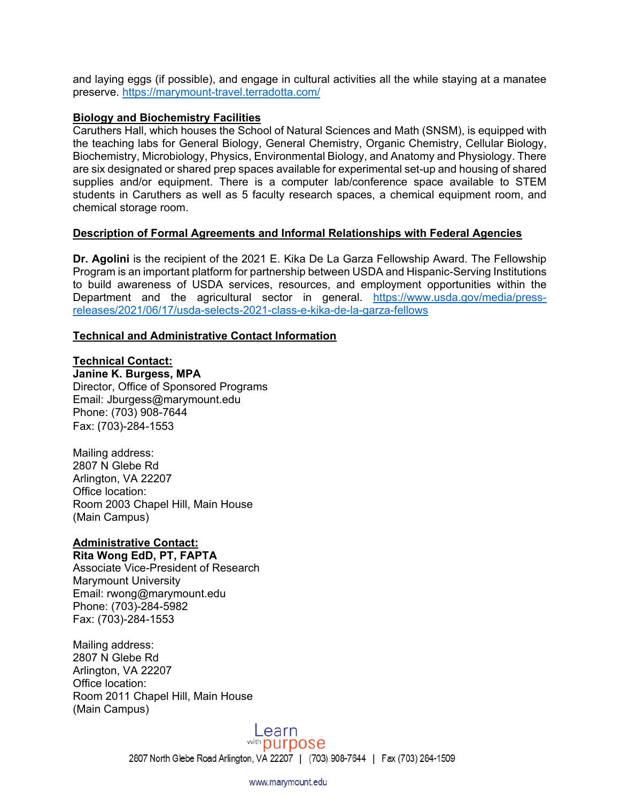and laying eggs (if possible), and engage in cultural activities all the while staying at a manatee preserve. https://marymount-travel.terradotta.com/

## **Biology and Biochemistry Facilities**

Caruthers Hall, which houses the School of Natural Sciences and Math (SNSM), is equipped with the teaching labs for General Biology, General Chemistry, Organic Chemistry, Cellular Biology, Biochemistry, Microbiology, Physics, Environmental Biology, and Anatomy and Physiology. There are six designated or shared prep spaces available for experimental set-up and housing of shared supplies and/or equipment. There is a computer lab/conference space available to STEM students in Caruthers as well as 5 faculty research spaces, a chemical equipment room, and chemical storage room.

## **Description of Formal Agreements and Informal Relationships with Federal Agencies**

**Dr. Agolini** is the recipient of the 2021 E. Kika De La Garza Fellowship Award. The Fellowship Program is an important platform for partnership between USDA and Hispanic-Serving Institutions to build awareness of USDA services, resources, and employment opportunities within the Department and the agricultural sector in general. https://www.usda.gov/media/pressreleases/2021/06/17/usda-selects-2021-class-e-kika-de-la-garza-fellows

## **Technical and Administrative Contact Information**

## **Technical Contact:**

**Janine K. Burgess, MPA** Director, Office of Sponsored Programs Email: Jburgess@marymount.edu Phone: (703) 908-7644 Fax: (703)-284-1553

Mailing address: 2807 N Glebe Rd Arlington, VA 22207 Office location: Room 2003 Chapel Hill, Main House (Main Campus)

#### **Administrative Contact: Rita Wong EdD, PT, FAPTA**

Associate Vice-President of Research Marymount University Email: rwong@marymount.edu Phone: (703)-284-5982 Fax: (703)-284-1553

Mailing address: 2807 N Glebe Rd Arlington, VA 22207 Office location: Room 2011 Chapel Hill, Main House (Main Campus)

> with purpose 2807 North Glebe Road Arlington, VA 22207 | (703) 908-7644 | Fax (703) 284-1509

Learn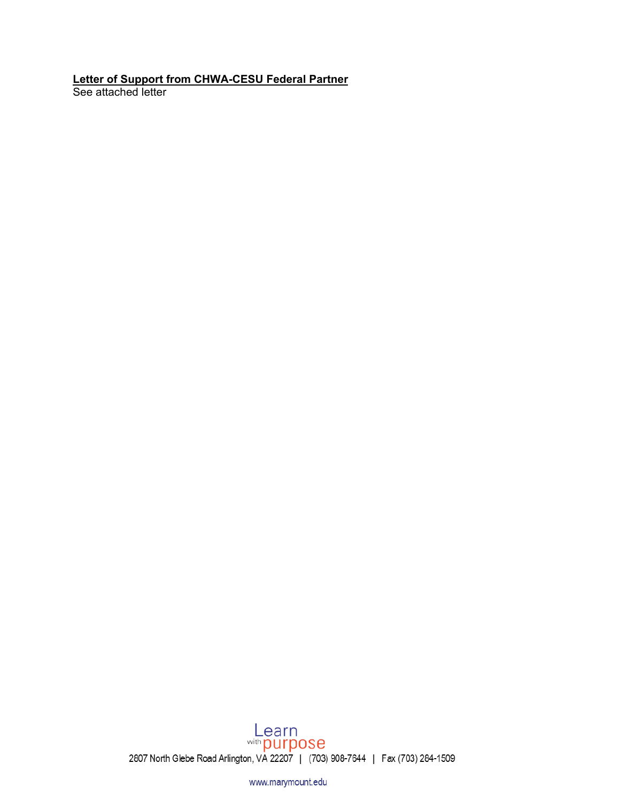# **Letter of Support from CHWA-CESU Federal Partner**

See attached letter

 $\begin{array}{c} \text{Learn} \\ \text{with} \text{purpose} \\ \text{2807 North Glebe Road Arlington, VA 22207} & (703) \text{ } 908\text{-}7644 & | \text{ Fax} \text{ (703) } 284\text{-}1509 \end{array}$ 

www.marymount.edu